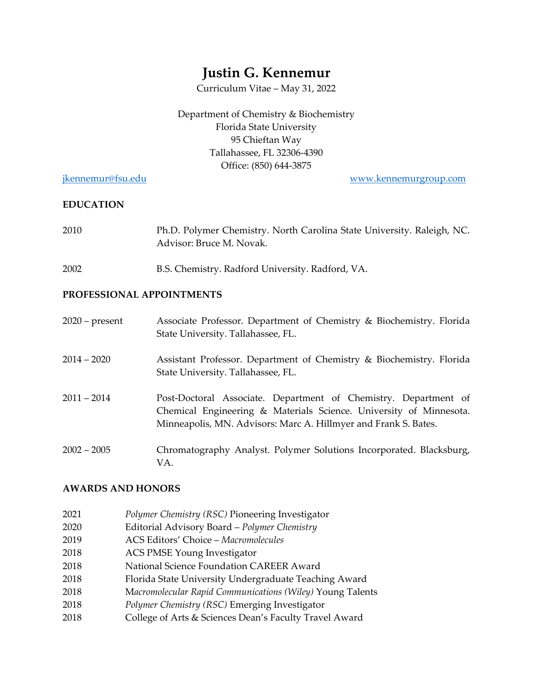# **Justin G. Kennemur**

Curriculum Vitae – May 31, 2022

Department of Chemistry & Biochemistry Florida State University 95 Chieftan Way Tallahassee, FL 32306-4390 Office: (850) 644-3875

[jkennemur@fsu.edu](mailto:jkennemur@fsu.edu) [www.kennemurgroup.com](http://www.kennemurgroup.com/) 

#### **EDUCATION**

| 2010 | Ph.D. Polymer Chemistry. North Carolina State University. Raleigh, NC. |
|------|------------------------------------------------------------------------|
|      | Advisor: Bruce M. Novak.                                               |

2002 B.S. Chemistry. Radford University. Radford, VA.

#### **PROFESSIONAL APPOINTMENTS**

| $2020$ – present | Associate Professor. Department of Chemistry & Biochemistry. Florida<br>State University. Tallahassee, FL.                                                                                               |
|------------------|----------------------------------------------------------------------------------------------------------------------------------------------------------------------------------------------------------|
| $2014 - 2020$    | Assistant Professor. Department of Chemistry & Biochemistry. Florida<br>State University. Tallahassee, FL.                                                                                               |
| $2011 - 2014$    | Post-Doctoral Associate. Department of Chemistry. Department of<br>Chemical Engineering & Materials Science. University of Minnesota.<br>Minneapolis, MN. Advisors: Marc A. Hillmyer and Frank S. Bates. |
| $2002 - 2005$    | Chromatography Analyst. Polymer Solutions Incorporated. Blacksburg,<br>VA.                                                                                                                               |

#### **AWARDS AND HONORS**

- 2021 *Polymer Chemistry (RSC)* Pioneering Investigator
- 2020 Editorial Advisory Board *Polymer Chemistry*
- 2019 ACS Editors' Choice *Macromolecules*
- 2018 ACS PMSE Young Investigator
- 2018 National Science Foundation CAREER Award
- 2018 Florida State University Undergraduate Teaching Award
- 2018 M*acromolecular Rapid Communications (Wiley)* Young Talents
- 2018 *Polymer Chemistry (RSC)* Emerging Investigator
- 2018 College of Arts & Sciences Dean's Faculty Travel Award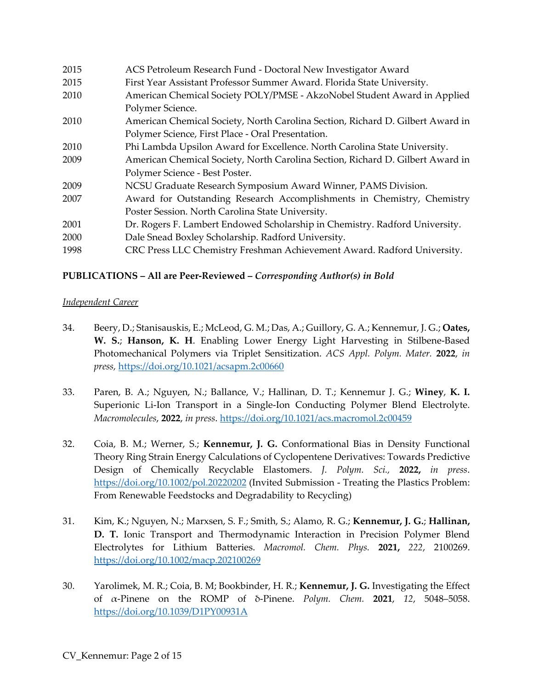| 2015 | ACS Petroleum Research Fund - Doctoral New Investigator Award                  |
|------|--------------------------------------------------------------------------------|
| 2015 | First Year Assistant Professor Summer Award. Florida State University.         |
| 2010 | American Chemical Society POLY/PMSE - AkzoNobel Student Award in Applied       |
|      | Polymer Science.                                                               |
| 2010 | American Chemical Society, North Carolina Section, Richard D. Gilbert Award in |
|      | Polymer Science, First Place - Oral Presentation.                              |
| 2010 | Phi Lambda Upsilon Award for Excellence. North Carolina State University.      |
| 2009 | American Chemical Society, North Carolina Section, Richard D. Gilbert Award in |
|      | Polymer Science - Best Poster.                                                 |
| 2009 | NCSU Graduate Research Symposium Award Winner, PAMS Division.                  |
| 2007 | Award for Outstanding Research Accomplishments in Chemistry, Chemistry         |
|      | Poster Session. North Carolina State University.                               |
| 2001 | Dr. Rogers F. Lambert Endowed Scholarship in Chemistry. Radford University.    |
| 2000 | Dale Snead Boxley Scholarship. Radford University.                             |
| 1998 | CRC Press LLC Chemistry Freshman Achievement Award. Radford University.        |

## **PUBLICATIONS – All are Peer-Reviewed –** *Corresponding Author(s) in Bold*

#### *Independent Career*

- 34. Beery, D.; Stanisauskis, E.; McLeod, G. M.; Das, A.; Guillory, G. A.; Kennemur, J. G.; **Oates, W. S.**; **Hanson, K. H**. Enabling Lower Energy Light Harvesting in Stilbene-Based Photomechanical Polymers via Triplet Sensitization. *ACS Appl. Polym. Mater.* **2022**, *in press,* <https://doi.org/10.1021/acsapm.2c00660>
- 33. Paren, B. A.; Nguyen, N.; Ballance, V.; Hallinan, D. T.; Kennemur J. G.; **Winey**, **K. I.** Superionic Li-Ion Transport in a Single-Ion Conducting Polymer Blend Electrolyte. *Macromolecules*, **2022**, *in press*.<https://doi.org/10.1021/acs.macromol.2c00459>
- 32. Coia, B. M.; Werner, S.; **Kennemur, J. G.** Conformational Bias in Density Functional Theory Ring Strain Energy Calculations of Cyclopentene Derivatives: Towards Predictive Design of Chemically Recyclable Elastomers. *J. Polym. Sci.,* **2022,** *in press*. <https://doi.org/10.1002/pol.20220202> (Invited Submission - Treating the Plastics Problem: From Renewable Feedstocks and Degradability to Recycling)
- 31. Kim, K.; Nguyen, N.; Marxsen, S. F.; Smith, S.; Alamo, R. G.; **Kennemur, J. G.**; **Hallinan, D. T.** Ionic Transport and Thermodynamic Interaction in Precision Polymer Blend Electrolytes for Lithium Batteries. *Macromol. Chem. Phys.* **2021,** *222*, 2100269. <https://doi.org/10.1002/macp.202100269>
- 30. Yarolimek, M. R.; Coia, B. M; Bookbinder, H. R.; **Kennemur, J. G.** Investigating the Effect of α-Pinene on the ROMP of δ-Pinene. *Polym. Chem.* **2021**, *12*, 5048–5058. <https://doi.org/10.1039/D1PY00931A>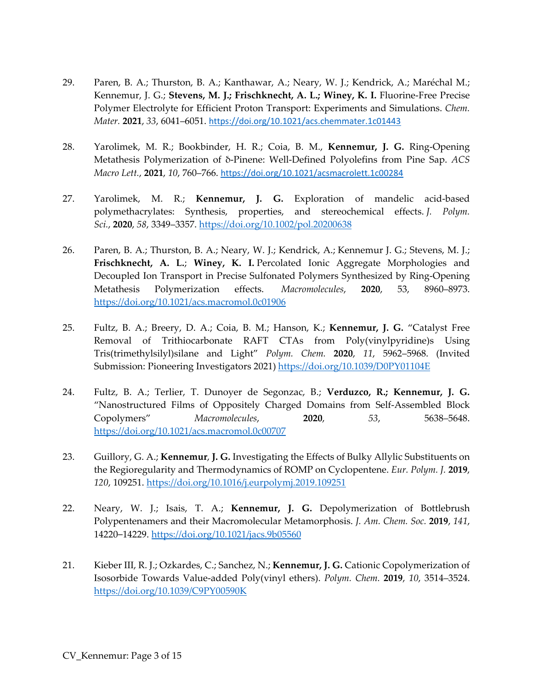- 29. Paren, B. A.; Thurston, B. A.; Kanthawar, A.; Neary, W. J.; Kendrick, A.; Maréchal M.; Kennemur, J. G.; **Stevens, M. J.; Frischknecht, A. L.; Winey, K. I.** Fluorine-Free Precise Polymer Electrolyte for Efficient Proton Transport: Experiments and Simulations. *Chem. Mater.* **2021**, *33*, 6041–6051. <https://doi.org/10.1021/acs.chemmater.1c01443>
- 28. Yarolimek, M. R.; Bookbinder, H. R.; Coia, B. M., **Kennemur, J. G.** Ring-Opening Metathesis Polymerization of δ-Pinene: Well-Defined Polyolefins from Pine Sap. *ACS Macro Lett.*, **2021**, *10*, 760–766. <https://doi.org/10.1021/acsmacrolett.1c00284>
- 27. Yarolimek, M. R.; **Kennemur, J. G.** Exploration of mandelic acid-based polymethacrylates: Synthesis, properties, and stereochemical effects. *J. Polym. Sci.*, **2020**, *58*, 3349–3357.<https://doi.org/10.1002/pol.20200638>
- 26. Paren, B. A.; Thurston, B. A.; Neary, W. J.; Kendrick, A.; Kennemur J. G.; Stevens, M. J.; **Frischknecht, A. L.**; **Winey, K. I.** Percolated Ionic Aggregate Morphologies and Decoupled Ion Transport in Precise Sulfonated Polymers Synthesized by Ring-Opening Metathesis Polymerization effects. *Macromolecules*, **2020**, 53, 8960–8973. <https://doi.org/10.1021/acs.macromol.0c01906>
- 25. Fultz, B. A.; Breery, D. A.; Coia, B. M.; Hanson, K.; **Kennemur, J. G.** "Catalyst Free Removal of Trithiocarbonate RAFT CTAs from Poly(vinylpyridine)s Using Tris(trimethylsilyl)silane and Light" *Polym. Chem.* **2020**, *11*, 5962–5968. (Invited Submission: Pioneering Investigators 2021) <https://doi.org/10.1039/D0PY01104E>
- 24. Fultz, B. A.; Terlier, T. Dunoyer de Segonzac, B.; **Verduzco, R.; Kennemur, J. G.** "Nanostructured Films of Oppositely Charged Domains from Self-Assembled Block Copolymers" *Macromolecules*, **2020**, *53*, 5638–5648. <https://doi.org/10.1021/acs.macromol.0c00707>
- 23. Guillory, G. A.; **Kennemur**, **J. G.** Investigating the Effects of Bulky Allylic Substituents on the Regioregularity and Thermodynamics of ROMP on Cyclopentene. *Eur. Polym. J.* **2019**, *120*, 109251.<https://doi.org/10.1016/j.eurpolymj.2019.109251>
- 22. Neary, W. J.; Isais, T. A.; **Kennemur, J. G.** Depolymerization of Bottlebrush Polypentenamers and their Macromolecular Metamorphosis. *J. Am. Chem. Soc.* **2019**, *141*, 14220–14229.<https://doi.org/10.1021/jacs.9b05560>
- 21. Kieber III, R. J.; Ozkardes, C.; Sanchez, N.; **Kennemur, J. G.** Cationic Copolymerization of Isosorbide Towards Value-added Poly(vinyl ethers). *Polym. Chem.* **2019**, *10*, 3514–3524. <https://doi.org/10.1039/C9PY00590K>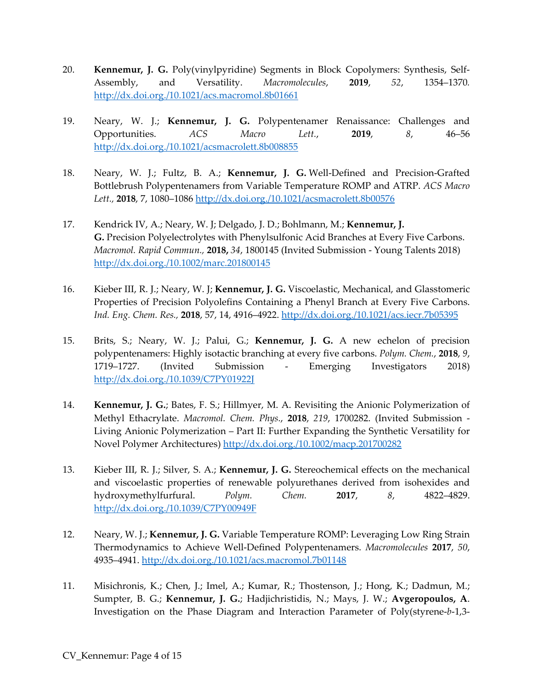- 20. **Kennemur, J. G.** Poly(vinylpyridine) Segments in Block Copolymers: Synthesis, Self-Assembly, and Versatility. *Macromolecules*, **2019**, *52*, 1354–1370*.* <http://dx.doi.org./10.1021/acs.macromol.8b01661>
- 19. Neary, W. J.; **Kennemur, J. G.** Polypentenamer Renaissance: Challenges and Opportunities. *ACS Macro Lett.*, **2019**, *8*, 46–56 <http://dx.doi.org./10.1021/acsmacrolett.8b008855>
- 18. Neary, W. J.; Fultz, B. A.; **Kennemur, J. G.** Well-Defined and Precision-Grafted Bottlebrush Polypentenamers from Variable Temperature ROMP and ATRP. *ACS Macro Lett.,* **2018**, 7, 1080–1086 <http://dx.doi.org./10.1021/acsmacrolett.8b00576>
- 17. Kendrick IV, A.; Neary, W. J; Delgado, J. D.; Bohlmann, M.; **Kennemur, J. G.** Precision Polyelectrolytes with Phenylsulfonic Acid Branches at Every Five Carbons. *Macromol. Rapid Commun.,* **2018,** *34*, 1800145 (Invited Submission - Young Talents 2018) <http://dx.doi.org./10.1002/marc.201800145>
- 16. Kieber III, R. J.; Neary, W. J; **Kennemur, J. G.** Viscoelastic, Mechanical, and Glasstomeric Properties of Precision Polyolefins Containing a Phenyl Branch at Every Five Carbons. *Ind. Eng. Chem. Res.,* **2018**, 57, 14, 4916–4922.<http://dx.doi.org./10.1021/acs.iecr.7b05395>
- 15. Brits, S.; Neary, W. J.; Palui, G.; **Kennemur, J. G.** A new echelon of precision polypentenamers: Highly isotactic branching at every five carbons. *Polym. Chem.*, **2018**, *9*, 1719–1727. (Invited Submission - Emerging Investigators 2018) http://dx.doi.org./10.1039/C7PY01922J
- 14. **Kennemur, J. G.**; Bates, F. S.; Hillmyer, M. A. Revisiting the Anionic Polymerization of Methyl Ethacrylate. *Macromol. Chem. Phys.*, **2018**, *219*, 1700282. (Invited Submission - Living Anionic Polymerization – Part II: Further Expanding the Synthetic Versatility for Novel Polymer Architectures) <http://dx.doi.org./10.1002/macp.201700282>
- 13. Kieber III, R. J.; Silver, S. A.; **Kennemur, J. G.** Stereochemical effects on the mechanical and viscoelastic properties of renewable polyurethanes derived from isohexides and hydroxymethylfurfural. *Polym. Chem.* **2017**, *8*, 4822–4829. http://dx.doi.org./10.1039/C7PY00949F
- 12. Neary, W. J.; **Kennemur, J. G.** Variable Temperature ROMP: Leveraging Low Ring Strain Thermodynamics to Achieve Well-Defined Polypentenamers. *Macromolecules* **2017**, *50*, 4935–4941. http://dx.doi.org./10.1021/acs.macromol.7b01148
- 11. Misichronis, K.; Chen, J.; Imel, A.; Kumar, R.; Thostenson, J.; Hong, K.; Dadmun, M.; Sumpter, B. G.; **Kennemur, J. G.**; Hadjichristidis, N.; Mays, J. W.; **Avgeropoulos, A**. Investigation on the Phase Diagram and Interaction Parameter of Poly(styrene-*b*-1,3-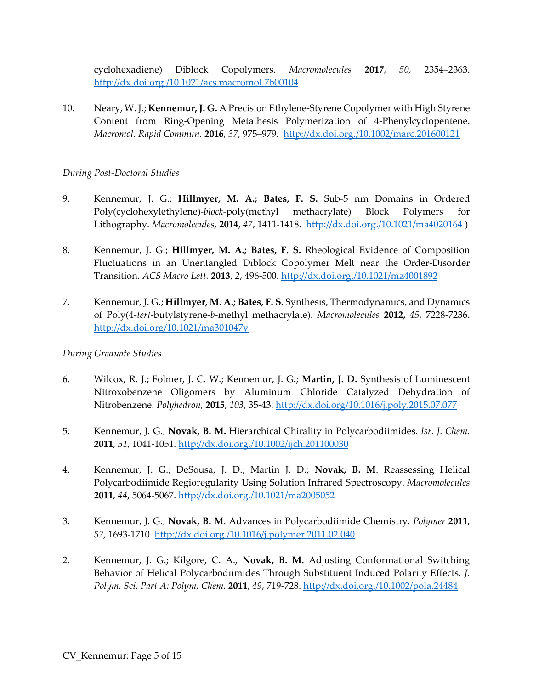cyclohexadiene) Diblock Copolymers. *Macromolecules* **2017**, *50,* 2354–2363. <http://dx.doi.org./10.1021/acs.macromol.7b00104>

10. Neary, W. J.; **Kennemur, J. G.** A Precision Ethylene-Styrene Copolymer with High Styrene Content from Ring-Opening Metathesis Polymerization of 4-Phenylcyclopentene. *Macromol. Rapid Commun.* **2016**, *37*, 975–979.<http://dx.doi.org./10.1002/marc.201600121>

#### *During Post-Doctoral Studies*

- 9. Kennemur, J. G.; **Hillmyer, M. A.; Bates, F. S.** Sub-5 nm Domains in Ordered Poly(cyclohexylethylene)-*block*-poly(methyl methacrylate) Block Polymers for Lithography. *Macromolecules*, **2014**, *47*, 1411-1418. <http://dx.doi.org./10.1021/ma4020164>)
- 8. Kennemur, J. G.; **Hillmyer, M. A.; Bates, F. S.** Rheological Evidence of Composition Fluctuations in an Unentangled Diblock Copolymer Melt near the Order-Disorder Transition. *ACS Macro Lett.* **2013**, *2*, 496-500. <http://dx.doi.org./10.1021/mz4001892>
- 7. Kennemur, J. G.; **Hillmyer, M. A.; Bates, F. S.** Synthesis, Thermodynamics, and Dynamics of Poly(4-*tert*-butylstyrene-*b*-methyl methacrylate). *Macromolecules* **2012,** *45*, 7228-7236. <http://dx.doi.org/10.1021/ma301047y>

## *During Graduate Studies*

- 6. Wilcox, R. J.; Folmer, J. C. W.; Kennemur, J. G**.**; **Martin, J. D.** Synthesis of Luminescent Nitroxobenzene Oligomers by Aluminum Chloride Catalyzed Dehydration of Nitrobenzene. *Polyhedron*, **2015**, *103*, 35-43.<http://dx.doi.org/10.1016/j.poly.2015.07.077>
- 5. Kennemur, J. G.; **Novak, B. M.** Hierarchical Chirality in Polycarbodiimides. *Isr. J. Chem.* **2011**, *51*, 1041-1051. <http://dx.doi.org./10.1002/ijch.201100030>
- 4. Kennemur, J. G.; DeSousa, J. D.; Martin J. D.; **Novak, B. M**. Reassessing Helical Polycarbodiimide Regioregularity Using Solution Infrared Spectroscopy. *Macromolecules* **2011**, *44*, 5064-5067. <http://dx.doi.org./10.1021/ma2005052>
- 3. Kennemur, J. G.; **Novak, B. M**. Advances in Polycarbodiimide Chemistry. *Polymer* **2011**, *52*, 1693-1710. <http://dx.doi.org./10.1016/j.polymer.2011.02.040>
- 2. Kennemur, J. G.; Kilgore, C. A., **Novak, B. M.** Adjusting Conformational Switching Behavior of Helical Polycarbodiimides Through Substituent Induced Polarity Effects. *J. Polym. Sci. Part A: Polym. Chem.* **2011**, *49*, 719-728. <http://dx.doi.org./10.1002/pola.24484>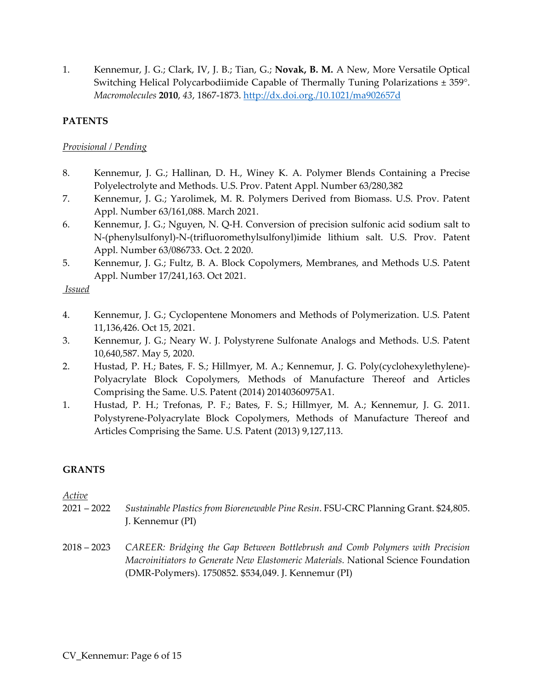1. Kennemur, J. G.; Clark, IV, J. B.; Tian, G.; **Novak, B. M.** A New, More Versatile Optical Switching Helical Polycarbodiimide Capable of Thermally Tuning Polarizations ± 359°. *Macromolecules* **2010**, *43*, 1867-1873. <http://dx.doi.org./10.1021/ma902657d>

## **PATENTS**

#### *Provisional / Pending*

- 8. Kennemur, J. G.; Hallinan, D. H., Winey K. A. Polymer Blends Containing a Precise Polyelectrolyte and Methods. U.S. Prov. Patent Appl. Number 63/280,382
- 7. Kennemur, J. G.; Yarolimek, M. R. Polymers Derived from Biomass. U.S. Prov. Patent Appl. Number 63/161,088. March 2021.
- 6. Kennemur, J. G.; Nguyen, N. Q-H. Conversion of precision sulfonic acid sodium salt to N-(phenylsulfonyl)-N-(trifluoromethylsulfonyl)imide lithium salt. U.S. Prov. Patent Appl. Number 63/086733. Oct. 2 2020.
- 5. Kennemur, J. G.; Fultz, B. A. Block Copolymers, Membranes, and Methods U.S. Patent Appl. Number 17/241,163. Oct 2021.

*Issued*

- 4. Kennemur, J. G.; Cyclopentene Monomers and Methods of Polymerization. U.S. Patent 11,136,426. Oct 15, 2021.
- 3. Kennemur, J. G.; Neary W. J. Polystyrene Sulfonate Analogs and Methods. U.S. Patent 10,640,587. May 5, 2020.
- 2. Hustad, P. H.; Bates, F. S.; Hillmyer, M. A.; Kennemur, J. G. Poly(cyclohexylethylene)- Polyacrylate Block Copolymers, Methods of Manufacture Thereof and Articles Comprising the Same. U.S. Patent (2014) 20140360975A1.
- 1. Hustad, P. H.; Trefonas, P. F.; Bates, F. S.; Hillmyer, M. A.; Kennemur, J. G. 2011. Polystyrene-Polyacrylate Block Copolymers, Methods of Manufacture Thereof and Articles Comprising the Same. U.S. Patent (2013) 9,127,113.

## **GRANTS**

*Active*

- 2021 2022 *Sustainable Plastics from Biorenewable Pine Resin*. FSU-CRC Planning Grant. \$24,805. J. Kennemur (PI)
- 2018 2023 *CAREER: Bridging the Gap Between Bottlebrush and Comb Polymers with Precision Macroinitiators to Generate New Elastomeric Materials.* National Science Foundation (DMR-Polymers). 1750852. \$534,049. J. Kennemur (PI)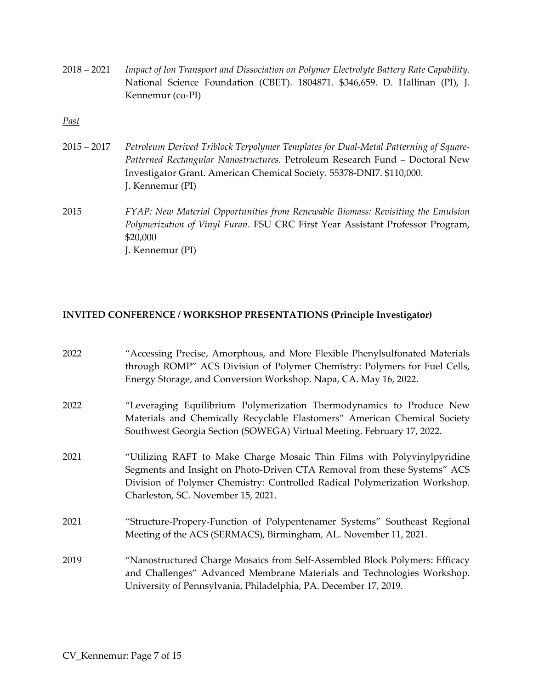2018 – 2021 *Impact of Ion Transport and Dissociation on Polymer Electrolyte Battery Rate Capability*. National Science Foundation (CBET). 1804871. \$346,659. D. Hallinan (PI), J. Kennemur (co-PI)

*Past*

- 2015 2017 *Petroleum Derived Triblock Terpolymer Templates for Dual-Metal Patterning of Square-Patterned Rectangular Nanostructures.* Petroleum Research Fund – Doctoral New Investigator Grant. American Chemical Society. 55378-DNI7. \$110,000. J. Kennemur (PI)
- 2015 *FYAP: New Material Opportunities from Renewable Biomass: Revisiting the Emulsion Polymerization of Vinyl Furan*. FSU CRC First Year Assistant Professor Program, \$20,000 J. Kennemur (PI)

#### **INVITED CONFERENCE / WORKSHOP PRESENTATIONS (Principle Investigator)**

| "Accessing Precise, Amorphous, and More Flexible Phenylsulfonated Materials<br>through ROMP" ACS Division of Polymer Chemistry: Polymers for Fuel Cells,<br>Energy Storage, and Conversion Workshop. Napa, CA. May 16, 2022.                                            |
|-------------------------------------------------------------------------------------------------------------------------------------------------------------------------------------------------------------------------------------------------------------------------|
| "Leveraging Equilibrium Polymerization Thermodynamics to Produce New<br>Materials and Chemically Recyclable Elastomers" American Chemical Society<br>Southwest Georgia Section (SOWEGA) Virtual Meeting. February 17, 2022.                                             |
| "Utilizing RAFT to Make Charge Mosaic Thin Films with Polyvinylpyridine<br>Segments and Insight on Photo-Driven CTA Removal from these Systems" ACS<br>Division of Polymer Chemistry: Controlled Radical Polymerization Workshop.<br>Charleston, SC. November 15, 2021. |
| "Structure-Propery-Function of Polypentenamer Systems" Southeast Regional<br>Meeting of the ACS (SERMACS), Birmingham, AL. November 11, 2021.                                                                                                                           |
| "Nanostructured Charge Mosaics from Self-Assembled Block Polymers: Efficacy<br>and Challenges" Advanced Membrane Materials and Technologies Workshop.<br>University of Pennsylvania, Philadelphia, PA. December 17, 2019.                                               |
|                                                                                                                                                                                                                                                                         |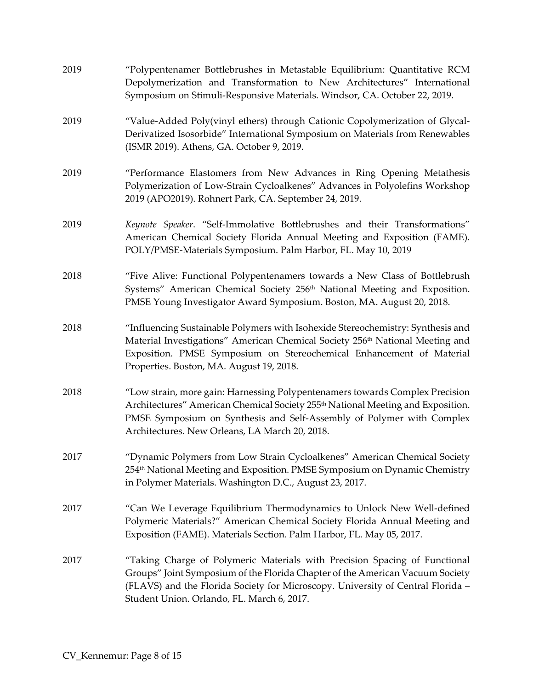| 2019 | "Polypentenamer Bottlebrushes in Metastable Equilibrium: Quantitative RCM<br>Depolymerization and Transformation to New Architectures" International<br>Symposium on Stimuli-Responsive Materials. Windsor, CA. October 22, 2019.                                                                      |
|------|--------------------------------------------------------------------------------------------------------------------------------------------------------------------------------------------------------------------------------------------------------------------------------------------------------|
| 2019 | "Value-Added Poly(vinyl ethers) through Cationic Copolymerization of Glycal-<br>Derivatized Isosorbide" International Symposium on Materials from Renewables<br>(ISMR 2019). Athens, GA. October 9, 2019.                                                                                              |
| 2019 | "Performance Elastomers from New Advances in Ring Opening Metathesis<br>Polymerization of Low-Strain Cycloalkenes" Advances in Polyolefins Workshop<br>2019 (APO2019). Rohnert Park, CA. September 24, 2019.                                                                                           |
| 2019 | Keynote Speaker. "Self-Immolative Bottlebrushes and their Transformations"<br>American Chemical Society Florida Annual Meeting and Exposition (FAME).<br>POLY/PMSE-Materials Symposium. Palm Harbor, FL. May 10, 2019                                                                                  |
| 2018 | "Five Alive: Functional Polypentenamers towards a New Class of Bottlebrush<br>Systems" American Chemical Society 256 <sup>th</sup> National Meeting and Exposition.<br>PMSE Young Investigator Award Symposium. Boston, MA. August 20, 2018.                                                           |
| 2018 | "Influencing Sustainable Polymers with Isohexide Stereochemistry: Synthesis and<br>Material Investigations" American Chemical Society 256 <sup>th</sup> National Meeting and<br>Exposition. PMSE Symposium on Stereochemical Enhancement of Material<br>Properties. Boston, MA. August 19, 2018.       |
| 2018 | "Low strain, more gain: Harnessing Polypentenamers towards Complex Precision<br>Architectures" American Chemical Society 255 <sup>th</sup> National Meeting and Exposition.<br>PMSE Symposium on Synthesis and Self-Assembly of Polymer with Complex<br>Architectures. New Orleans, LA March 20, 2018. |
| 2017 | "Dynamic Polymers from Low Strain Cycloalkenes" American Chemical Society<br>254 <sup>th</sup> National Meeting and Exposition. PMSE Symposium on Dynamic Chemistry<br>in Polymer Materials. Washington D.C., August 23, 2017.                                                                         |
| 2017 | "Can We Leverage Equilibrium Thermodynamics to Unlock New Well-defined<br>Polymeric Materials?" American Chemical Society Florida Annual Meeting and<br>Exposition (FAME). Materials Section. Palm Harbor, FL. May 05, 2017.                                                                           |
| 2017 | "Taking Charge of Polymeric Materials with Precision Spacing of Functional<br>Groups" Joint Symposium of the Florida Chapter of the American Vacuum Society<br>(FLAVS) and the Florida Society for Microscopy. University of Central Florida -<br>Student Union. Orlando, FL. March 6, 2017.           |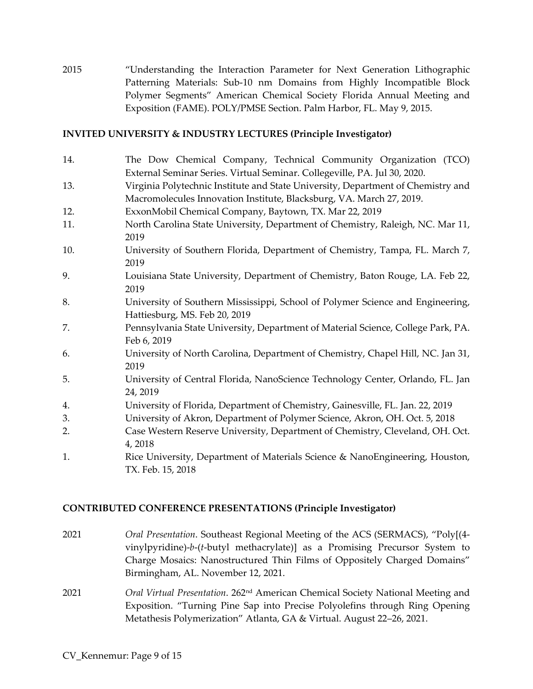2015 "Understanding the Interaction Parameter for Next Generation Lithographic Patterning Materials: Sub-10 nm Domains from Highly Incompatible Block Polymer Segments" American Chemical Society Florida Annual Meeting and Exposition (FAME). POLY/PMSE Section. Palm Harbor, FL. May 9, 2015.

#### **INVITED UNIVERSITY & INDUSTRY LECTURES (Principle Investigator)**

- 14. The Dow Chemical Company, Technical Community Organization (TCO) External Seminar Series. Virtual Seminar. Collegeville, PA. Jul 30, 2020.
- 13. Virginia Polytechnic Institute and State University, Department of Chemistry and Macromolecules Innovation Institute, Blacksburg, VA. March 27, 2019.
- 12. ExxonMobil Chemical Company, Baytown, TX. Mar 22, 2019
- 11. North Carolina State University, Department of Chemistry, Raleigh, NC. Mar 11, 2019
- 10. University of Southern Florida, Department of Chemistry, Tampa, FL. March 7, 2019
- 9. Louisiana State University, Department of Chemistry, Baton Rouge, LA. Feb 22, 2019
- 8. University of Southern Mississippi, School of Polymer Science and Engineering, Hattiesburg, MS. Feb 20, 2019
- 7. Pennsylvania State University, Department of Material Science, College Park, PA. Feb 6, 2019
- 6. University of North Carolina, Department of Chemistry, Chapel Hill, NC. Jan 31, 2019
- 5. University of Central Florida, NanoScience Technology Center, Orlando, FL. Jan 24, 2019
- 4. University of Florida, Department of Chemistry, Gainesville, FL. Jan. 22, 2019
- 3. University of Akron, Department of Polymer Science, Akron, OH. Oct. 5, 2018
- 2. Case Western Reserve University, Department of Chemistry, Cleveland, OH. Oct. 4, 2018
- 1. Rice University, Department of Materials Science & NanoEngineering, Houston, TX. Feb. 15, 2018

## **CONTRIBUTED CONFERENCE PRESENTATIONS (Principle Investigator)**

- 2021 *Oral Presentation*. Southeast Regional Meeting of the ACS (SERMACS), "Poly[(4 vinylpyridine)-*b*-(*t*-butyl methacrylate)] as a Promising Precursor System to Charge Mosaics: Nanostructured Thin Films of Oppositely Charged Domains" Birmingham, AL. November 12, 2021.
- 2021 *Oral Virtual Presentation*. 262nd American Chemical Society National Meeting and Exposition. "Turning Pine Sap into Precise Polyolefins through Ring Opening Metathesis Polymerization" Atlanta, GA & Virtual. August 22–26, 2021.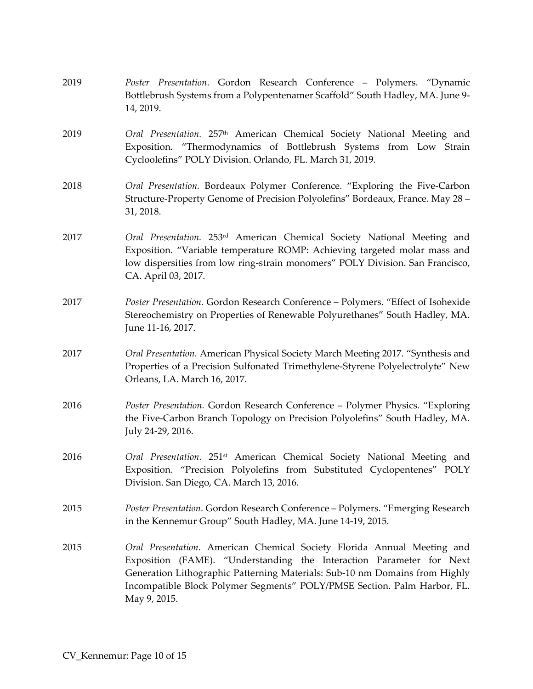| 2019 | Poster Presentation. Gordon Research Conference - Polymers. "Dynamic<br>Bottlebrush Systems from a Polypentenamer Scaffold" South Hadley, MA. June 9-<br>14, 2019.                                                                                                                                                         |
|------|----------------------------------------------------------------------------------------------------------------------------------------------------------------------------------------------------------------------------------------------------------------------------------------------------------------------------|
| 2019 | Oral Presentation. 257 <sup>th</sup> American Chemical Society National Meeting and<br>Exposition. "Thermodynamics of Bottlebrush Systems from Low Strain<br>Cycloolefins" POLY Division. Orlando, FL. March 31, 2019.                                                                                                     |
| 2018 | Oral Presentation. Bordeaux Polymer Conference. "Exploring the Five-Carbon<br>Structure-Property Genome of Precision Polyolefins" Bordeaux, France. May 28 -<br>31, 2018.                                                                                                                                                  |
| 2017 | Oral Presentation. 253 <sup>rd</sup> American Chemical Society National Meeting and<br>Exposition. "Variable temperature ROMP: Achieving targeted molar mass and<br>low dispersities from low ring-strain monomers" POLY Division. San Francisco,<br>CA. April 03, 2017.                                                   |
| 2017 | Poster Presentation. Gordon Research Conference - Polymers. "Effect of Isohexide<br>Stereochemistry on Properties of Renewable Polyurethanes" South Hadley, MA.<br>June 11-16, 2017.                                                                                                                                       |
| 2017 | Oral Presentation. American Physical Society March Meeting 2017. "Synthesis and<br>Properties of a Precision Sulfonated Trimethylene-Styrene Polyelectrolyte" New<br>Orleans, LA. March 16, 2017.                                                                                                                          |
| 2016 | Poster Presentation. Gordon Research Conference - Polymer Physics. "Exploring<br>the Five-Carbon Branch Topology on Precision Polyolefins" South Hadley, MA.<br>July 24-29, 2016.                                                                                                                                          |
| 2016 | Oral Presentation. 251 <sup>st</sup> American Chemical Society National Meeting and<br>Exposition. "Precision Polyolefins from Substituted Cyclopentenes" POLY<br>Division. San Diego, CA. March 13, 2016.                                                                                                                 |
| 2015 | Poster Presentation. Gordon Research Conference - Polymers. "Emerging Research<br>in the Kennemur Group" South Hadley, MA. June 14-19, 2015.                                                                                                                                                                               |
| 2015 | Oral Presentation. American Chemical Society Florida Annual Meeting and<br>Exposition (FAME). "Understanding the Interaction Parameter for Next<br>Generation Lithographic Patterning Materials: Sub-10 nm Domains from Highly<br>Incompatible Block Polymer Segments" POLY/PMSE Section. Palm Harbor, FL.<br>May 9, 2015. |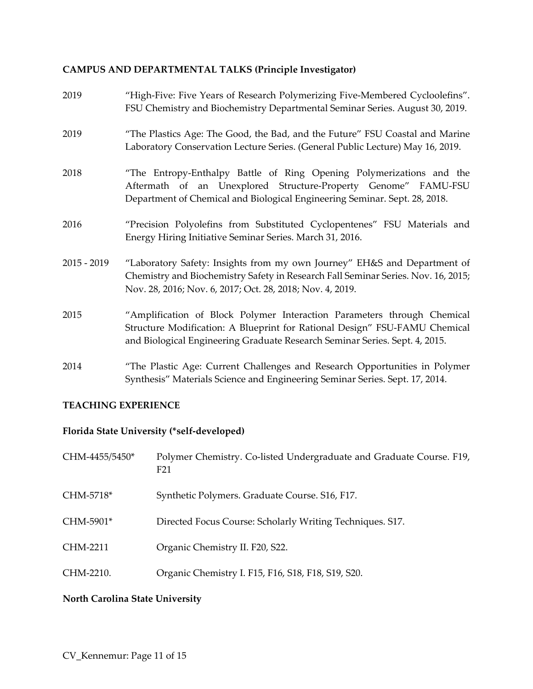# **CAMPUS AND DEPARTMENTAL TALKS (Principle Investigator)**

| 2019          | "High-Five: Five Years of Research Polymerizing Five-Membered Cycloolefins".<br>FSU Chemistry and Biochemistry Departmental Seminar Series. August 30, 2019.                                                                         |
|---------------|--------------------------------------------------------------------------------------------------------------------------------------------------------------------------------------------------------------------------------------|
| 2019          | "The Plastics Age: The Good, the Bad, and the Future" FSU Coastal and Marine<br>Laboratory Conservation Lecture Series. (General Public Lecture) May 16, 2019.                                                                       |
| 2018          | "The Entropy-Enthalpy Battle of Ring Opening Polymerizations and the<br>Aftermath of an Unexplored Structure-Property Genome" FAMU-FSU<br>Department of Chemical and Biological Engineering Seminar. Sept. 28, 2018.                 |
| 2016          | "Precision Polyolefins from Substituted Cyclopentenes" FSU Materials and<br>Energy Hiring Initiative Seminar Series. March 31, 2016.                                                                                                 |
| $2015 - 2019$ | "Laboratory Safety: Insights from my own Journey" EH&S and Department of<br>Chemistry and Biochemistry Safety in Research Fall Seminar Series. Nov. 16, 2015;<br>Nov. 28, 2016; Nov. 6, 2017; Oct. 28, 2018; Nov. 4, 2019.           |
| 2015          | "Amplification of Block Polymer Interaction Parameters through Chemical<br>Structure Modification: A Blueprint for Rational Design" FSU-FAMU Chemical<br>and Biological Engineering Graduate Research Seminar Series. Sept. 4, 2015. |
| 2014          | "The Plastic Age: Current Challenges and Research Opportunities in Polymer<br>Synthesis" Materials Science and Engineering Seminar Series. Sept. 17, 2014.                                                                           |

## **TEACHING EXPERIENCE**

# **Florida State University (\*self-developed)**

| CHM-4455/5450* | Polymer Chemistry. Co-listed Undergraduate and Graduate Course. F19,<br>F <sub>21</sub> |
|----------------|-----------------------------------------------------------------------------------------|
| CHM-5718*      | Synthetic Polymers. Graduate Course. S16, F17.                                          |
| CHM-5901*      | Directed Focus Course: Scholarly Writing Techniques. S17.                               |
| CHM-2211       | Organic Chemistry II. F20, S22.                                                         |
| CHM-2210.      | Organic Chemistry I. F15, F16, S18, F18, S19, S20.                                      |

# **North Carolina State University**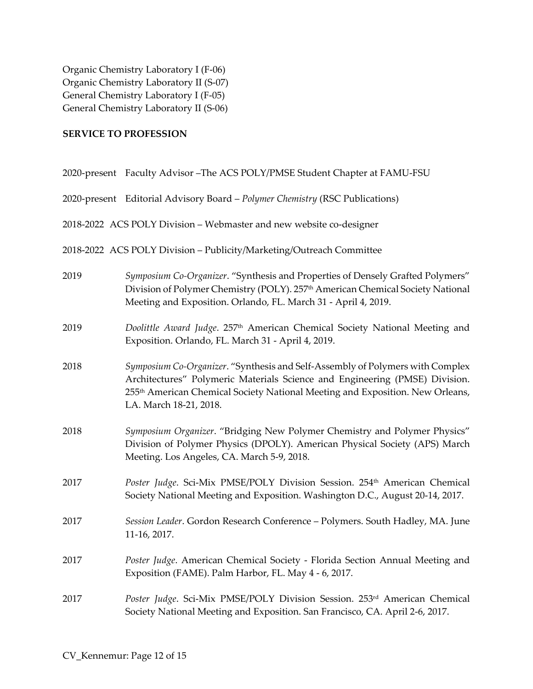Organic Chemistry Laboratory I (F-06) Organic Chemistry Laboratory II (S-07) General Chemistry Laboratory I (F-05) General Chemistry Laboratory II (S-06)

#### **SERVICE TO PROFESSION**

|      | 2020-present Faculty Advisor - The ACS POLY/PMSE Student Chapter at FAMU-FSU                                                                                                                                                                                                        |
|------|-------------------------------------------------------------------------------------------------------------------------------------------------------------------------------------------------------------------------------------------------------------------------------------|
|      | 2020-present Editorial Advisory Board - Polymer Chemistry (RSC Publications)                                                                                                                                                                                                        |
|      | 2018-2022 ACS POLY Division - Webmaster and new website co-designer                                                                                                                                                                                                                 |
|      | 2018-2022 ACS POLY Division - Publicity/Marketing/Outreach Committee                                                                                                                                                                                                                |
| 2019 | Symposium Co-Organizer. "Synthesis and Properties of Densely Grafted Polymers"<br>Division of Polymer Chemistry (POLY). 257 <sup>th</sup> American Chemical Society National<br>Meeting and Exposition. Orlando, FL. March 31 - April 4, 2019.                                      |
| 2019 | Doolittle Award Judge. 257th American Chemical Society National Meeting and<br>Exposition. Orlando, FL. March 31 - April 4, 2019.                                                                                                                                                   |
| 2018 | Symposium Co-Organizer. "Synthesis and Self-Assembly of Polymers with Complex<br>Architectures" Polymeric Materials Science and Engineering (PMSE) Division.<br>255 <sup>th</sup> American Chemical Society National Meeting and Exposition. New Orleans,<br>LA. March 18-21, 2018. |
| 2018 | Symposium Organizer. "Bridging New Polymer Chemistry and Polymer Physics"<br>Division of Polymer Physics (DPOLY). American Physical Society (APS) March<br>Meeting. Los Angeles, CA. March 5-9, 2018.                                                                               |
| 2017 | Poster Judge. Sci-Mix PMSE/POLY Division Session. 254 <sup>th</sup> American Chemical<br>Society National Meeting and Exposition. Washington D.C., August 20-14, 2017.                                                                                                              |
| 2017 | Session Leader. Gordon Research Conference - Polymers. South Hadley, MA. June<br>11-16, 2017.                                                                                                                                                                                       |
| 2017 | Poster Judge. American Chemical Society - Florida Section Annual Meeting and<br>Exposition (FAME). Palm Harbor, FL. May 4 - 6, 2017.                                                                                                                                                |
| 2017 | Poster Judge. Sci-Mix PMSE/POLY Division Session. 253rd American Chemical<br>Society National Meeting and Exposition. San Francisco, CA. April 2-6, 2017.                                                                                                                           |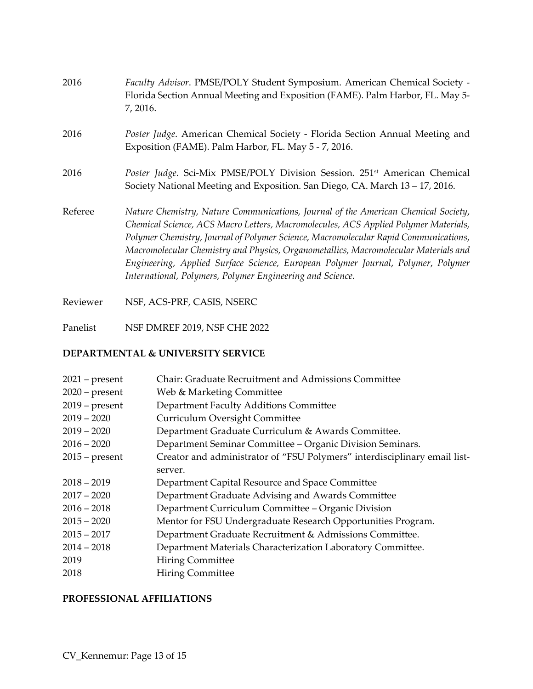| 2016     | Faculty Advisor. PMSE/POLY Student Symposium. American Chemical Society -<br>Florida Section Annual Meeting and Exposition (FAME). Palm Harbor, FL. May 5-<br>7, 2016.                                                                                                                                                                                                                                                                                                                                   |
|----------|----------------------------------------------------------------------------------------------------------------------------------------------------------------------------------------------------------------------------------------------------------------------------------------------------------------------------------------------------------------------------------------------------------------------------------------------------------------------------------------------------------|
| 2016     | Poster Judge. American Chemical Society - Florida Section Annual Meeting and<br>Exposition (FAME). Palm Harbor, FL. May 5 - 7, 2016.                                                                                                                                                                                                                                                                                                                                                                     |
| 2016     | Poster Judge. Sci-Mix PMSE/POLY Division Session. 251 <sup>st</sup> American Chemical<br>Society National Meeting and Exposition. San Diego, CA. March 13 – 17, 2016.                                                                                                                                                                                                                                                                                                                                    |
| Referee  | Nature Chemistry, Nature Communications, Journal of the American Chemical Society,<br>Chemical Science, ACS Macro Letters, Macromolecules, ACS Applied Polymer Materials,<br>Polymer Chemistry, Journal of Polymer Science, Macromolecular Rapid Communications,<br>Macromolecular Chemistry and Physics, Organometallics, Macromolecular Materials and<br>Engineering, Applied Surface Science, European Polymer Journal, Polymer, Polymer<br>International, Polymers, Polymer Engineering and Science. |
| Reviewer | NSF, ACS-PRF, CASIS, NSERC                                                                                                                                                                                                                                                                                                                                                                                                                                                                               |

Panelist NSF DMREF 2019, NSF CHE 2022

# **DEPARTMENTAL & UNIVERSITY SERVICE**

| $2021$ – present | Chair: Graduate Recruitment and Admissions Committee                      |
|------------------|---------------------------------------------------------------------------|
| $2020$ – present | Web & Marketing Committee                                                 |
| $2019$ – present | Department Faculty Additions Committee                                    |
| $2019 - 2020$    | Curriculum Oversight Committee                                            |
| $2019 - 2020$    | Department Graduate Curriculum & Awards Committee.                        |
| $2016 - 2020$    | Department Seminar Committee - Organic Division Seminars.                 |
| $2015$ – present | Creator and administrator of "FSU Polymers" interdisciplinary email list- |
|                  | server.                                                                   |
| $2018 - 2019$    | Department Capital Resource and Space Committee                           |
| $2017 - 2020$    | Department Graduate Advising and Awards Committee                         |
| $2016 - 2018$    | Department Curriculum Committee - Organic Division                        |
| $2015 - 2020$    | Mentor for FSU Undergraduate Research Opportunities Program.              |
| $2015 - 2017$    | Department Graduate Recruitment & Admissions Committee.                   |
| $2014 - 2018$    | Department Materials Characterization Laboratory Committee.               |
| 2019             | <b>Hiring Committee</b>                                                   |
| 2018             | <b>Hiring Committee</b>                                                   |
|                  |                                                                           |

## **PROFESSIONAL AFFILIATIONS**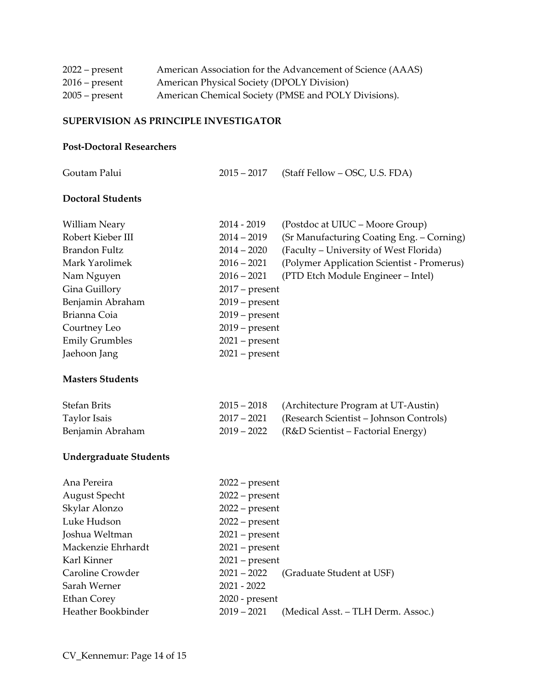| $2022$ – present | American Association for the Advancement of Science (AAAS) |
|------------------|------------------------------------------------------------|
| $2016$ – present | American Physical Society (DPOLY Division)                 |
| $2005$ – present | American Chemical Society (PMSE and POLY Divisions).       |

#### **SUPERVISION AS PRINCIPLE INVESTIGATOR**

#### **Post-Doctoral Researchers**

| Goutam Palui             | $2015 - 2017$    | (Staff Fellow – OSC, U.S. FDA)                         |  |
|--------------------------|------------------|--------------------------------------------------------|--|
| <b>Doctoral Students</b> |                  |                                                        |  |
| William Neary            | $2014 - 2019$    | (Postdoc at UIUC – Moore Group)                        |  |
| Robert Kieber III        | $2014 - 2019$    | (Sr Manufacturing Coating Eng. – Corning)              |  |
| Brandon Fultz            | $2014 - 2020$    | (Faculty – University of West Florida)                 |  |
| Mark Yarolimek           | $2016 - 2021$    | (Polymer Application Scientist - Promerus)             |  |
| Nam Nguyen               | $2016 - 2021$    | (PTD Etch Module Engineer - Intel)                     |  |
| Gina Guillory            | $2017$ – present |                                                        |  |
| Benjamin Abraham         | $2019$ – present |                                                        |  |
| Brianna Coia             | $2019$ – present |                                                        |  |
| Courtney Leo             | $2019$ – present |                                                        |  |
| <b>Emily Grumbles</b>    | $2021$ – present |                                                        |  |
| Jaehoon Jang             | $2021$ – present |                                                        |  |
| <b>Masters Students</b>  |                  |                                                        |  |
| $C \cup C \cup D \cup D$ |                  | $2010 - 74$ and it is some Discovered in FIT Acception |  |

| <b>Stefan Brits</b> | 2015 – 2018 (Architecture Program at UT-Austin)     |
|---------------------|-----------------------------------------------------|
| Taylor Isais        | 2017 – 2021 (Research Scientist – Johnson Controls) |
| Benjamin Abraham    | 2019 – 2022 (R&D Scientist – Factorial Energy)      |

# **Undergraduate Students**

| Ana Pereira        | $2022$ – present                                    |  |  |
|--------------------|-----------------------------------------------------|--|--|
| August Specht      | $2022$ – present                                    |  |  |
| Skylar Alonzo      | $2022$ – present                                    |  |  |
| Luke Hudson        | $2022$ – present                                    |  |  |
| Joshua Weltman     | $2021$ – present                                    |  |  |
| Mackenzie Ehrhardt | $2021$ – present                                    |  |  |
| Karl Kinner        | $2021$ – present                                    |  |  |
| Caroline Crowder   | (Graduate Student at USF)<br>$2021 - 2022$          |  |  |
| Sarah Werner       | $2021 - 2022$                                       |  |  |
| Ethan Corey        | $2020$ - present                                    |  |  |
| Heather Bookbinder | $2019 - 2021$<br>(Medical Asst. – TLH Derm. Assoc.) |  |  |